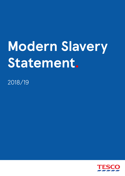# **Modern Slavery Statement.**

2018/19

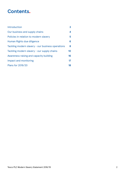# **Contents.**

| Introduction                                      | 3  |
|---------------------------------------------------|----|
| Our business and supply chains                    | 4  |
| Policies in relation to modern slavery            | 5  |
| Human Rights due diligence                        | 6  |
| Tackling modern slavery - our business operations | 8  |
| Tackling modern slavery - our supply chains       | 10 |
| Awareness raising and capacity building           | 16 |
| Impact and monitoring                             | 17 |
| <b>Plans for 2019/20</b>                          | 18 |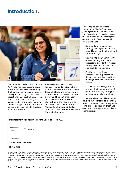# **Introduction.**



The UK Modern Slavery Act 2015 (the 'Act') requires businesses to state the actions they have taken during the financial year to ensure modern slavery is not taking place in their operations and supply chains. Tesco is fully committed to playing our part in eradicating modern slavery. We firmly support transparency and collaboration to eliminate the risks of modern slavery.

This statement refers to the financial year ending 23rd February 2019 and sets out the steps taken by Tesco UK Stores and other relevant UK subsidiaries<sup>1</sup> to prevent modern slavery and human trafficking in our own operations and supply chains. Due to the nature of their businesses, Tesco Bank, Tesco Mobile, Dunnhumby and Booker report and publish separate Modern Slavery Statements.

Since we published our first statement in May 2017, we have gained greater insight into trends and risks relating to modern slavery that have enabled us to strengthen our approach. Over the past 12 months we have:

- Reframed our human rights strategy, with a greater focus on forced labour both in the UK and internationally;
- Entered into a partnership with Unseen helping us to better understand and identify modern slavery risks and improve our approach to remediation;
- Continued to equip our colleagues and suppliers with the necessary training and tools to mitigate the risk of modern slavery;
- Established a working group to oversee the implementation of our modern slavery strategy and to respond to risks identified.

In the year ahead we will continue to develop our approach to managing the risk of modern day slavery within our business and supply chain and ensure our strategy is responsive to changing risks.

This statement was approved by the Board of Tesco PLC.

Dave Lewis

**Group Chief Executive**

14 May 2019

<sup>1</sup> Entities required to publish a statement under the Modern Slavery Act and therefore covered by this Group Statement include: BRP Ltd, Delamare Cards Funding 1 Limited, Ek-Chai Distribution System Co Ltd, MSSW Ltd, One Stop Stores Ltd, Ritter Courivaud Ltd, Tesco (Polska) Sp. z o.o., Tesco Corporate Treasury Services, Tesco Distribution Limited, Tesco Family Dining Limited, Tesco Food Sourcing Limited, Tesco Franchise Stores, s.r.o., Tesco Freetime Limited, Tesco International Clothing Brand s.r.o., Tesco International Sourcing Ltd, Tesco Ireland Limited, Tesco Maintenance Limited, Tesco Mobile Ireland Limited, Tesco Overseas ULC, Tesco PLC, Tesco Property Limited Partnership, Tesco Stores (Malaysia) SDN BHD, Tesco Stores CR a.s.,Tesco Stores Limited, TESCO STORES SR, a.s., TESCO-Global Áruházak Zrt. and The Tesco Aqua Limited Partnership.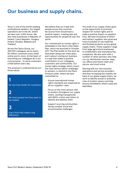# **Our business and supply chains.**

Tesco is one of the world's leading multinational retailers. Our largest operations are in the UK, where we have over 3,400 stores. We also have businesses in Republic of Ireland, Czech Republic, Hungary, Poland, Slovakia, Malaysia and Thailand.

Across the Tesco Group, our 450,000 colleagues serve nearly 80 million customers every week online and in-store. At the heart of everything our colleagues do is our core purpose – to serve customers a little better every day.

This purpose is underpinned by our three values:

# **1.**

No one tries harder for customers

# **2.**

We treat people how they want to be treated

## **3.**

Every little help makes a big difference

We believe that our trade with people across the countries we source from should have a positive impact, creating jobs and opportunities for people all over the world.

Our commitment to human rights is embedded in the Tesco Little Helps Plan, which we launched in October 2017. The Plan builds on the work we have been doing over many years and is about running our business in a way that makes a positive contribution to our colleagues, customers and communities. Our human rights strategy, which covers the most serious labour challenges to workers, is central to the Plan's Products pillar, where we have committed to:

- Ensure international human rights standards are respected at all our suppliers' sites
- Focus on the most serious risks to workers throughout our supply chains, working transparently with NGOs, unions and others to identify and address them
- Support sourcing communities facing complex social and environmental challenges.

The scale of our supply chains gives us the opportunity to promote respect for human rights and to make a positive impact on people's lives. We have thousands of direct and indirect suppliers who grow and move hundreds of raw materials and finished products across global supply chains. These suppliers range from large agriculture businesses to smallholders and manufacturing companies. We also work with a number of other partners who help run our distribution centres, keep our offices and stores clean and secure, and much more.

Starting with our own business operations and service providers, and then increasing the visibility we have of our global supply chains, we work to identify actual or potential risks of modern slavery and help ensure remediation where cases are identified.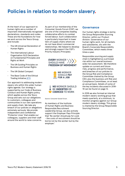# **Policies in relation to modern slavery.**

At the heart of our approach to human rights are a number of important internationally recognised declarations, standards and codes. These are the foundations for how we work across the Tesco Group, and include:

- The UN Universal Declaration of Human Rights
- The International Labour Organization (ILO) Declaration on Fundamental Principles and Rights at Work
- The UN Guiding Principles on Business and Human Rights
- The UN Global Compact
- The Base Code of the Ethical Trading Initiative (ETI)

Our approach to addressing modern slavery sits within this wider human rights agenda. Our strategy is supported by our Code of Business Conduct and Human Rights policy, which applies across the Tesco Group and sets out our obligations to customers, colleagues and communities in our own operations and supply chain. We take any breach of our policies or allegations extremely seriously. We provide independent and confidential 'Protector Lines' that enable our colleagues, suppliers and their staff around the world to raise concerns.

As part of our membership of the Consumer Goods Forum (CGF), we are one of the companies leading collaborative efforts to combat forced labour. Such collaboration is particularly important in lower tiers of supply chains where we do not have direct commercial relationships. We helped to develop and strongly support the CGF's Priority Industry Principles:

**EVERY WORKER \ SHOULD HAVE FREEDOM OF MOVEMENT** 





Source: Consumer Goods Forum.

As members of the Institute of Human Rights and Business Responsible Recruitment Leadership Group, we also actively support the Employer Pays Principle that 'No worker should pay for a job - the costs of recruitment should be borne not by the worker but by the employer.'

#### **Governance**

Our human rights strategy is led by the Group Responsible Sourcing Director, within our Product division. Governance of our human rights work, for all markets and subsidiaries, sits with the Board's Corporate Responsibility Committee, which meets three times a year.

Responsible sourcing and supply chain is highlighted as a principal risk within our overall businesswide risk assessment. We therefore update on current and future risks, progress and performance, and breaches of our policies to the Group Risk and Compliance Committee chaired by the Group CEO, plus the business unit Risk and Compliance Committees, on at least an annual basis. Details of some of the key incidents discussed in 2018- 19 can be found on page 12.

In 2018 we also formed an internal modern slavery working group that meets quarterly, at a minimum, to monitor progress against our Group modern slavery strategy. This group is chaired by the Group Responsible Sourcing Director.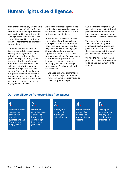# **Human rights due diligence.**

Risks of modern slavery are dynamic and can change quickly. We follow a robust due diligence process that was developed in line with the UN Guiding Principles on Business and Human Rights and in consultation with over fifty internal and external stakeholders.

Our 45 dedicated Responsible Sourcing specialists, based across nine key sourcing countries, are well-placed to gather on-theground intelligence through direct engagement with suppliers and other relevant stakeholders. This includes capturing the views of workers through interviews and surveys. Where we do not have onthe-ground capacity, we engage a range of experienced stakeholders, including consultants and NGOs, who are supported by our commercial buying and quality teams.

We use the information gathered to continually reassess and respond to the potential and actual risks in our business and supply chains.

In September 2018 we conducted a full review of our human rights strategy to ensure it continues to reflect the learnings from our due diligence framework. We engaged 25 key stakeholders, including suppliers, academics, NGOs and internal stakeholders. We also spoke to trade union representatives to bring the voice of people in our supply chain to our strategy development. Feedback included the following:

• We need to have a clearer focus on the most important human rights issues we are prioritising to have the greatest impact;

- Our monitoring programme (in particular for food sites) should place greater emphasis on the improvements that need to be made when issues are identified;
- We should focus more on advocacy – including with suppliers, industry bodies and governments - where we think this is necessary to bring about positive change for workers;
- We need to review our buying practices to ensure they enable us to deliver our human rights agenda.

### **Our due diligence framework has five stages:**

**1.**

Establish a broad perspective beyond our immediate business and the first tier of our supply chain

**2.** 

Determine priorities based on areas of highest risk and through intelligence gathering

**3.** 

Identify the process of avoiding or mitigating risk **4.**

Define method for rectifying abuses and remediating any victims

**5.**

Developing learning strategy allowing us to consider new information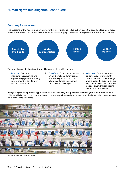### **Human rights due diligence.** (continued)

### **Four key focus areas:**

The outcome of the review is a new strategy, that will initially be rolled out by Tesco UK, based on four clear focus areas. These areas both reflect salient issues within our supply chains and are aligned with stakeholder priorities.



We have also rearticulated our three pillar approach to taking action:

- 1. **Improve:** Ensure our monitoring programme and supplier engagement is driving improvement of day-to-day working conditions
- 2. **Transform:** Focus our attention on multi-stakeholder initiatives that are aligned with our four pillars to address entrenched sector-wide challenges
- 3. **Advocate:** Formalise our work on advocacy – working with others to call for wider change where needed - building on our engagement with the Consumer Goods Forum, Ethical Trading Initiative (ETI) and others

Recognising the role purchasing practices have on the ability of suppliers to maintain good labour conditions, in 2019 we will also be conducting a review of our buying policies and procedures, and the impact that they can have on human rights standards.



Photo: Environmental Justice Foundation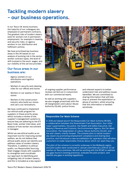# **Tackling modern slavery - our business operations.**

In our Tesco UK stores business, the majority of our colleagues are employed on permanent contracts. The greatest risks of modern slavery exist for workers not in permanent employment, for example in cleaning and security roles, or agency workers in our distribution and fulfilment centres.

We have prioritised key business areas in the UK based on our analysis of evolving risk in the sector, worker contract types, the level of skill involved in the work, wages, and our visibility of the service provider.

### **Our focus areas in our business are:**

- Agency workers in our distribution and logistics operations
- Workers in security and cleaning roles for our offices and stores
- Workers in car washes in Tesco stores
- Workers in the construction industry who build our stores and carry out renovations.

We have continued to implement our ethical audit program for suppliers in these priority areas, which includes a review of the supplier's management systems to ensure they are adhering to the ETI Base Code, worker interviews, and analysis of how worker recruitment is managed.

Whilst we see ethical audits as an important tool for improving worker welfare, we do not believe that ethical audits alone can identify and address cases of modern slavery. Therefore, in addition to ethical audits, our Responsible Sourcing Team engage closely with suppliers to strengthen and coordinate our approach to identifying and mitigating risks of modern slavery, and this is included as a key aspect



of ongoing supplier performance reviews carried out in conjunction with our commercial teams.

As well as working with suppliers, we also engage proactively with the UK Gangmasters and Labour Abuse Authority (GLAA), police forces,

and relevant experts to better understand risks and address issues identified. We are committed to sharing information that will help stop or prevent the exploitation or abuse of workers, whilst ensuring that this information is handled sensitively.

#### **Responsible Car Wash Scheme.**

In 2018 we helped launch the Responsible Car Wash Scheme (RCWS), a collaboration between the Downstream Fuel Association, four other major supermarkets, the police, the Health and Safety Executive, Her Majesty's Revenue and Customs, the Environment Agency, the Car Wash Association, the Gangmasters & Labour Abuse Authority (GLAA), and the anti-slavery charity Unseen. The scheme aims to tackle modern day slavery by promoting employment compliance and sharing best practice, and introduces a new accreditation for operators that will allow customers to make responsible choices about which car wash they use.

The pilot of the scheme is currently underway in the Midlands region, and pilot audits were conducted in January and February 2019 at 32 car washes on Tesco premises. We will be working with the RCWS to address any gaps found in existing practices, evaluate the pilot project, and identify any gaps in existing regulations.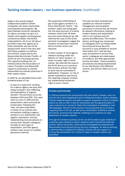### **Tackling modern slavery - our business operations.** (continued)

Sedex is the world's largest collaborative platform where companies can share responsible sourcing data and progress. We have finalised minimum standards for labour providers as part of a retailer and supplier working group convened by Sedex, the ethical trade platform. All of our UK labour providers have now signed up to these standards, and we will be doing further work in the next year with these suppliers on ethical recruitment, supported by the Responsible Recruitment Toolkit, of which we are a founding sponsor. This capacity building tool, an initiative led by the Association of Labour Providers and allianceHR, supports businesses to embed responsible recruitment practices in their supply chains.

In 2018/19, we identified three main incidents/areas of risk:

• A case of a supervisor working for a labour agency we work with being involved in the trafficking and exploitation of migrant workers. The activities occurred between 2014 and 2016. This case went to court in 2018 and the perpetrators were successfully prosecuted. Following this case, we have undertaken a review of our policies and procedures relating to agency workers in our distribution and logistics operations, and are implementing new procedures to ensure that relevant colleagues are able to spot signs of exploitation, and that agency workers have access to suitable grievance channels.

- The suspected withholding of pay of two agency workers in a Tesco Distribution Centre – the workers' salary was being paid into the bank account of a family member whilst their UK bank accounts were being set up. We referred the case to the GLAA, and their investigation judged the situation to have been resolved and no further action was required.
- A small number of store agency cleaners working under the identity of 'other workers', in order to evade 'right to work' checks. We referred the case to the GLAA due to our concerns that workers without the right to work may be vulnerable to exploitation. However, no risk of worker exploitation was found. The cleaning company involved has implemented enhanced 'right to work' checks.

This year we have reviewed and updated our internal incident management and escalation processes to ensure that we receive all relevant information relating to modern slavery and exploitation risks in our business and act quickly and effectively. The modern slavery working group composed of colleagues from our Responsible Sourcing and Group Security functions is now available to receive information 24/7, and we have clear procedures to ensure that senior colleagues are made aware of incidents, and that appropriate actions are taken. These escalation procedures are being implemented at our distribution and fulfilment centres, and will be rolled out to our stores.

#### **Unseen partnership.**

In 2019 we entered into partnership with the charity, Unseen, who run the UK's first fully independent and confidential modern slavery helpline. Trained helpline advisors are able to support potential victims of modern slavery as well as offer a way for businesses and the general public to raise suspicions or concerns. Real-time translation is available in over 180 languages. We are in the process of ensuring that all our primary supplying sites in the UK, as well as our distribution fulfilment centres and stores, promote the helpline, enabling us to continue to raise awareness of modern slavery.

Through the Unseen business portal, we will be able to gain visibility of potential cases relating to Tesco raised by both internal and external parties. Where necessary, these will be investigated by experienced Responsible Sourcing and Group Security colleagues. As well as working in partnership to expand the helpline, Unseen will also support us in ensuring remediation for victims if cases of modern slavery are identified.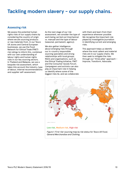# **Tackling modern slavery - our supply chains.**

### **Assessing risk**

We assess the potential human rights risks of our supply chains by considering the country of origin where we are sourcing products or raw materials from. In our Tesco UK stores and Central European businesses, we use the Food Network for Ethical Trade (FNET) risk ratings to inform this, combined with our own understanding of labour rights and human rights risks in our key sourcing sectors. In Thailand and Malaysia, we use a bespoke risk assessment, which takes into account the industry, type of labour, internal recommendations and supplier self-assessment.

As the next stage of our risk assessment, we consider the type of work being carried out (mechanical vs. manual) and the type of labour (seasonal, permanent, agency).

We also gather intelligence about emerging risks through our in-country responsible sourcing specialists and strong relationships with local groups, NGOs and organisations, such as the Ethical Trading Initiative, FNET and the Consumer Goods Forum. Campaigners and activists can also play an important role in helping us identify where some of the biggest risks lie, and we collaborate with them and learn from their experience wherever possible. We recognise the important role played by investigative journalism in identifying current and emerging risks.

This approach helps us identify where the most salient and material risks are in our supply chains. We then seek to mitigate the risks through our 'three pillar' approach – Improve, Transform, Advocate.



**Low risk, Medium risk, High risk**

*Figure 1: First-tier sourcing map by risk status for Tesco UK Food, General Merchandise and Clothing.*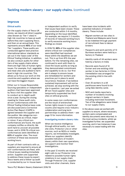### **Improve**

#### **Ethical audits**

For the supply chains of Tesco UK stores, we require all direct supplier sites (known as 'Tier 1' sites) in high risk countries to have an audit before they start supplying Tesco, and then on an annual basis. This represents around **45%** of our total Tier 1 suppliers. These audits are conducted against best practice international labour standards as set out in the 'base code' of the Ethical Trading Initiative. In addition, we also conduct audits for other tiers of key supply chains where there are high risks of human rights issues. For example, fruit, vegetable and meat sites are audited to farm level in high risk countries. This allows us to focus our work on the countries and suppliers where we can have the biggest impact.

Either our in-house Responsible Sourcing specialists or independent auditors that have been approved by Tesco visit the supplier sites to conduct an in-depth audit once a year. During the closing meeting for these audit visits, all non-conformances with the Ethical Trading Initiative base code are discussed and a Corrective Action Plan Report (CAPR) is agreed between the supplier and the auditor. We categorise nonconformances as critical, major or minor. If any critical nonconformances are found, the audit company notifies us directly. We work hard to uncover all possible issues, and in 2018/19 critical nonconformances were identified at **63%** of supplier sites. The most common of these was excessive working hours.

As part of their contracts with us, suppliers are required to ensure all non-conformances are fixed, with critical issues needing immediate action. Suppliers are supported to address these issues by expert Tesco teams and a follow-up audit is conducted by our in-house team

or independent auditors to verify that issues have been closed. These are conducted within 3-6 months, depending on the issue identified. For example, we require 2-3 months of records of reduced working hours to verify excessive working hours findings as closed.

In 2018/19, **89%** of the supplier sites where critical non-compliances were identified had resolved these within the deadlines we set out. This is up from 81% the year before. For the remaining sites, we continued to work with them to close the issues quickly as long as they demonstrated commitment and capability to do so. Our first aim is always to ensure issues are remediated for workers and practices put in place to avoid recurrence. However, if we believe sustained improvement will not be achieved, we stop working with the site in question. Last year we exited **37** non-food supplier sites and temporarily suspended two food sites on ethical grounds.

In some cases non-conformances are the result of entrenched human rights issues in a particular country and require cross-industry collaboration and long term partnerships to address them – see page 13 for more information.

#### **Investigating modern slavery risks**

When we receive intelligence through ethical audits, our own site visits, Protector Line or other sources, such as NGOs or media reports, we immediately investigate. Where our suppliers identify possible indicators of modern slavery within their own operations, we support and monitor their investigations.

In the past 12 months we received eight calls to our Protector Line related to possible human rights violations in our supply chain. Through Protector Line, supplier visits and other channels, there

have been nine incidents with potential indicators of modern slavery. These include:

- Migrant workers at two sites in Thailand and Malaysia were found to be indebted through payment of recruitment fees to labour brokers
- Passports and work permits of 13 Burmese workers were held by a factory in Thailand
- Identity cards of 44 workers were held by a factory in India
- Records were found of 14 former and one existing child worker in two factories in China (remediation was arranged for the existing child in line with policy)
- Over 25 workers in a UK packhouse were found to be using fake identity cards
- NGO and media reported a number of incidents involving migrant workers in Spain, including restricted movement. Two of the allegations were linked to our supply chains.

In the above cases we worked with suppliers to ensure, where necessary, workers were compensated and identity documents were returned. In the most serious incidents, whilst we investigated further, we suspended sourcing, and in two instances it was necessary to cease trading with the sites.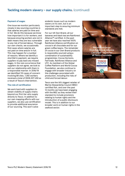#### **Payment of wages**

One issue we monitor particularly closely in key sourcing countries is that salaries are paid on time and in full. We do this because we know how important it is for workers, and because ensuring workers are not in debt means they are less vulnerable to any risk of forced labour. Through our own checks, we occasionally find cases where salaries are not paid on time and/or in full. This may happen for a number of reasons. Where we identify a shortfall in payment, we require suppliers to pay back any missed wages. In the rare occurrence that suppliers do not agree, we look to exit our relationship with them in a responsible manner. In 2018/19 we identified 110 cases of concern involving 88 sites. 7,392 workers received a total of \$508,307 USD as a result of Tesco's intervention.

#### **The role of certification**

We work hard with suppliers to obtain visibility of supply chains beyond our first tier who supply directly to Tesco. In addition to our own mapping efforts with our suppliers, we also use certification to provide additional assurance of our sourcing. This won't solve

endemic issues such as modern slavery on its own, but is an important step to ensuring minimum standards are met.

For our UK Own Brand, all our bananas and black tea are Rainforest Alliance™ certified. In the past year we have also reached 100% Rainforest Alliance certification on cocoa in all chocolate and for our green coffee beans. The remainder of cocoa in our Own Brand products is responsibly sourced using a combination of sustainability programmes: Cocoa Horizons, Fairtrade, Rainforest Alliance and UTZ. As members of the Global Coffee Platform and World Cocoa Foundation, we also continue to engage with broader industry on the challenges associated with production, including the risks of child and forced labour.

Tesco are the UK's biggest retailer of Marine Stewardship Council (MSC) certified fish, and over the past 12 months we have been engaging with the MSC as they review their standard to include provisions relating to human rights and the introduction of a public disclosure model. This is in addition to our broader work on human rights in the seafood sector.

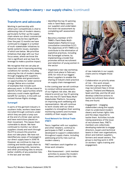### **Transform and advocate**

Working in partnership with others pre-competitively is vital to addressing risks of modern slavery, particularly further up the supply chain where our direct commercial influence may be less significant. Over the past 12 months we have continued to engage in a number of multi-stakeholder initiatives to tackle systemic issues, examples of which are below. We prioritise initiatives that align with our four focus areas, where we know the risk is significant and we have the leverage to make a positive impact.

We recognise that we can play an important role in improving working conditions for workers, including reducing the risk of modern slavery, through engaging with suppliers, industry bodies and governments on opportunities for wider sectoral change. Below are a number of examples that include such advocacy work. In 2019 we intend to identify further opportunities where advocacy could create significant benefit for workers, in line with our revised Human Rights strategy.

#### **Sumangali**

In parts of the garment industry in southern India, workers have been recruited through contracts under which they are paid a lump sum at the end of a three-year period, and have restrictions placed on their movement. This leaves them vulnerable to abuse. We have continued to monitor our direct suppliers closely and work through the ETI to ensure this practice does not take place. We have not identified any cases of Sumangali in our direct supply base in 2018/19. However, we continue to map our clothing and textile supply chain by including spinning mills, tanneries, and other processing sites to ensure better visibility of any potential risks. In the last year we have:

- Identified the top 10 spinning mills in Tamil Nadu used by our suppliers and undertaken first level risk assessment by completing self-assessment forms
- Become a member of ETI-TNMS's (Tamil Nadu Multi-Stakeholders Platform) local consultative committee (LCC). The objectives of ETI-TNMS is to contribute to the elimination of exploitive practices, including the Sumangali scheme, by implementing a model that promotes ethical recruitment and retention of young women in the sector
- Organised a two-day workshop, which took place in February 2019, for nine of our biggest direct suppliers to enable the sharing of industry best practice on supply chain management

In the coming year we will continue to conduct ethical assessments of our highest risk sites. We also intend to enroll our top 10 spinning mills into the ETI Tamil Nadu Multi-Stakeholder Platform, focussing on improving work wellbeing and representation. We will continue to work closely with our direct suppliers to strengthen their existing monitoring systems and increase visibility of their supply chain.

#### **Food Network for Ethical Trade (FNET)**

Tesco, together with our suppliers and other retailers, continue to participate in FNET, a network developed to support collaboration throughout supply chains, including addressing priority risks such as modern slavery.

FNET members work together on three work streams:

• Risk Assessment – joint member activities to assess the modern slavery and human rights risks



of raw materials in our supply chains and to mitigate those risks.

- Collaboration on priority areas of risk – this work stream includes a group working to map recruitment fees in three regions: Thailand and Malaysia, Spain and Italy, and the UK and develop collective actions to tackle recruitment fees where they are found.
- Engagement engaging stakeholders along the supply chain to understand modern slavery and human rights risks and the steps required to tackle them. Activities include raising awareness of the issue of recruitment fees. FNET's members are collectively developing materials to engage directors, buyers and technical teams in their own organisations, direct and indirect suppliers, farmers and vessel owners. The group is starting work in 2019 on workers' rights training and engagement.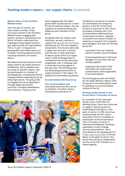#### **Migrant labour in the Southern Mediterranean**

Over the past 12 months, we have visited a number of key sourcing countries in the Southern Mediterranean, engaging with workers, growers, associations and NGOs, to better understand the challenges facing migrant workers and opportunities for improvement. This is, in part, in response to growing NGO and media reports of incidents involving migrant workers, including indicators of modern slavery.

We believe that interventions in this region need to be locally owned to be effective, led by suppliers and focussed on specific impacts. We are participants in a number of working groups, including the Ethical Trading Initiative's Working Group for Italian Agriculture. This group aims to mitigate the risk of exploitation through illegal recruitment practices, including indebtedness and coercions. The group has

been engaging with the Italian government to advocate for a more formal recruitment system. Our key suppliers of tinned tomatoes and salads are also members of this group.

Alongside other UK retailers and importers, we also continue to support the Spanish Ethical Forums, attended by our first tier suppliers and growers. Five forums were held in Spain over the past 12 months, with the aim to raise awareness of labour issues within our supply base. In 2018 working groups to complement the forums were also established, with 11 meetings held in three key sourcing regions in the past year. The working groups are developing practical tools to support growers in the region, for example accommodation guidance.

#### **Accommodation Working Group**

Poor accommodation and associated excessive fees can be an indicator of modern slavery. Following the publication of



'Guidance on provision of caravan accommodation for temporary workers in the UK' by the Fresh Produce Consortium in 2017, Tesco has played a leading role in the Accommodation Working Group, comprising of retailers, suppliers, consultants and industry bodies. In response to requests from suppliers and colleagues, this year the working group has:

- Launched a five-part webinar series on worker accommodation
- Produced guidance for Technical Managers to use when they are visiting suppliers
- Supported the review of the new Sedex self-assessment questionnaire, where applicable, to accommodation

The working group was shortlisted for the Sedex Awards in March 2019. The group is now exploring the need for guidance on accommodation outside of the UK.

#### **Working collaboratively to end forced labour in the palm oil sector**

As a member of the Consumer Goods Forum (CGF) Palm Oil Working Group, Tesco has continued to support industry action on eradicating forced labour in the palm oil sector. In 2018, the Group commissioned the Fair Labour Association (FLA) to complete an assessment of the forced labour risks in the palm oil sector in Indonesia and Malaysia. Following publication of their findings and recommendations, Tesco contributed to the development of a High-Level Action Plan on forced labour in the palm oil sector. The Action Plan will drive collaboration and focus the CGF members on a shared agenda.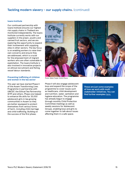#### **Issara Institute**

Our continued partnership with Issara Institute ensures our highest risk supply chains in Thailand are monitored independently. The Issara Institute currently works with our suppliers in the prawn, poultry and canned fruit sectors, and we are exploring the opportunity to expand their involvement with supplying sites in other sectors. The key focus is on enabling workers to raise their own concerns and ensure they are addressed, which is crucial for the empowerment of migrant workers who are often vulnerable to exploitation. The Issara Institute is also involved in innovative projects on ethical recruitment and fishing vessel labour standards.

#### **Preventing trafficking of children and women in the tea sector**

This year we have started Phase II of the Assam Transforming Lives Programme in partnership with UNICEF, the Ethical Tea Partnership (ETP) and others. Phase one helped to enhance life skills for 35,000 adolescent girls in tea growing communities in Assam so they are better equipped to protect themselves from various forms of harm, including child marriage and child trafficking. Building on the success of the first phase,



Photo: Abbie Trayler-Smith/Panos

Phase II will also engage adolescent boys and expand the scope of the programme to cover issues such as healthcare, child development and nutrition, water, sanitation and hygiene education. The programme has already begun to engage through monthly Child Protection Committee meetings as well as weekly sessions for Adolescent Groups, enabling boys and girls to come together to talk about issues affecting them in a safe space.

**These are just some examples of how we work with multi stakeholder initiatives. You can find further examples** here.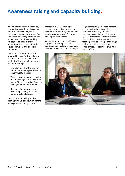# **Awareness raising and capacity building.**

Raising awareness of modern day slavery, both within our business and our supply chains, is an important part of our strategy. We know that identifying potential and actual cases requires upskilling colleagues and suppliers to understand the drivers of modern slavery as well as the possible indicators.

This year we continued to run targeted training for the colleagues in our business who have direct contact with workers in our supply chains, including:

- Stronger Together training for UK Technical Managers as well as other Quality functions
- Tailored modern slavery training for UK colleagues in distribution and fulfilment, including Security Managers and People Teams
- Roll-out of a modern slavery e-learning training for all UK commercial colleagues.

We will be undertaking further training with UK distribution centre managers and agency contract

managers in 2019. Training of relevant store colleagues will be carried out once our guidance and escalation procedures for store colleagues are finalised.

We continue to require all Tesco suppliers, including service providers such as labour agencies, based in the UK to attend Stronger Together training. This requirement also includes the second tier suppliers of our key UK food suppliers. Over the past five years, 1,037 representatives from our food supply chains have attended this training. We also strongly encourage all fruit and wine producers to attend Stronger Together training in South Africa.

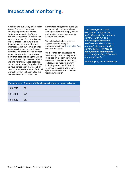# **Impact and monitoring.**

In addition to publishing this Modern Slavery Statement, we report annual progress on our human rights programme to the Tesco Risk and Compliance Committee at least once a year. This includes any critical breaches of our policies, the results of ethical audits, and progress against our commitments to responsibly source priority raw materials. We share a series of 'heat maps' to ensure that members of the Committee, including the Group CEO, have a strong overview of risks and effectiveness. These heat maps set out the number of supplier sites we have across each market in high risk countries and the level of ethical oversight we have at each site. This year we have also provided the

Committee with greater oversight of human rights incidents in our own operations and supply chains and briefed on key risk areas, for example agriculture.

We publically disclose progress against the human rights commitments in our Little Helps Plan on an annual basis.

We also monitor data regarding the training of our colleagues and suppliers on modern slavery. We have now trained over 500 Tesco colleagues on modern slavery, including more than 95% of UK Technical Managers. We receive quantitative feedback on all the training we deliver.

*'The training was a real eye opener and gave me a fantastic insight into modern slavery. A well run and interesting course which used real world examples to demonstrate where modern slavery exists. I left feeling equipped and motivated to spot the signs of exploitation in our supply chain.'* 

**Peter Rodgers, Technical Manager**

|           | <b>Financial year</b> Number of UK colleagues trained on modern slavery |
|-----------|-------------------------------------------------------------------------|
| 2016-2017 | 89                                                                      |
| 2017-2018 | 274                                                                     |
| 2018-2019 | 210                                                                     |